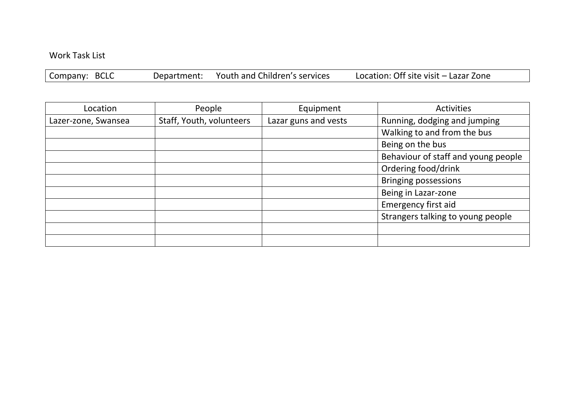## Work Task List

Company: BCLC Department: Youth and Children's services Location: Off site visit – Lazar Zone

| Location            | People                   | Equipment            | Activities                          |
|---------------------|--------------------------|----------------------|-------------------------------------|
| Lazer-zone, Swansea | Staff, Youth, volunteers | Lazar guns and vests | Running, dodging and jumping        |
|                     |                          |                      | Walking to and from the bus         |
|                     |                          |                      | Being on the bus                    |
|                     |                          |                      | Behaviour of staff and young people |
|                     |                          |                      | Ordering food/drink                 |
|                     |                          |                      | <b>Bringing possessions</b>         |
|                     |                          |                      | Being in Lazar-zone                 |
|                     |                          |                      | Emergency first aid                 |
|                     |                          |                      | Strangers talking to young people   |
|                     |                          |                      |                                     |
|                     |                          |                      |                                     |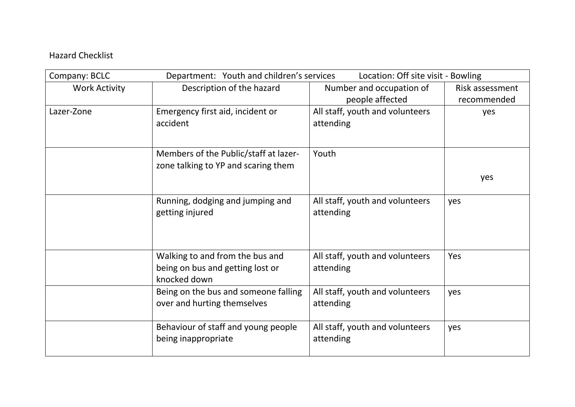## Hazard Checklist

| Company: BCLC        | Department: Youth and children's services | Location: Off site visit - Bowling |                 |
|----------------------|-------------------------------------------|------------------------------------|-----------------|
| <b>Work Activity</b> | Description of the hazard                 | Number and occupation of           | Risk assessment |
|                      |                                           | people affected                    | recommended     |
| Lazer-Zone           | Emergency first aid, incident or          | All staff, youth and volunteers    | yes             |
|                      | accident                                  | attending                          |                 |
|                      |                                           |                                    |                 |
|                      | Members of the Public/staff at lazer-     | Youth                              |                 |
|                      | zone talking to YP and scaring them       |                                    |                 |
|                      |                                           |                                    | yes             |
|                      |                                           |                                    |                 |
|                      | Running, dodging and jumping and          | All staff, youth and volunteers    | yes             |
|                      | getting injured                           | attending                          |                 |
|                      |                                           |                                    |                 |
|                      |                                           |                                    |                 |
|                      | Walking to and from the bus and           | All staff, youth and volunteers    | Yes             |
|                      | being on bus and getting lost or          | attending                          |                 |
|                      | knocked down                              |                                    |                 |
|                      | Being on the bus and someone falling      | All staff, youth and volunteers    | yes             |
|                      | over and hurting themselves               | attending                          |                 |
|                      |                                           |                                    |                 |
|                      | Behaviour of staff and young people       | All staff, youth and volunteers    | yes             |
|                      | being inappropriate                       | attending                          |                 |
|                      |                                           |                                    |                 |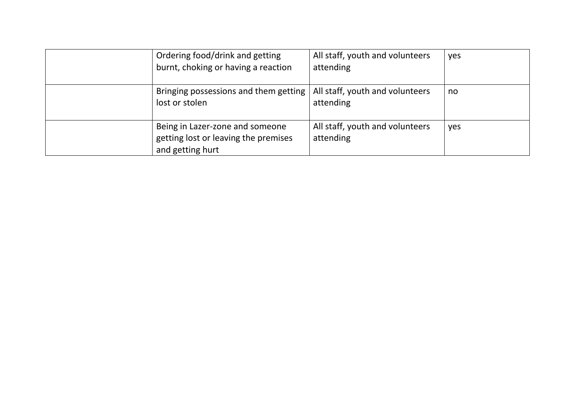| Ordering food/drink and getting<br>burnt, choking or having a reaction                      | All staff, youth and volunteers<br>attending | yes |
|---------------------------------------------------------------------------------------------|----------------------------------------------|-----|
| Bringing possessions and them getting<br>lost or stolen                                     | All staff, youth and volunteers<br>attending | no  |
| Being in Lazer-zone and someone<br>getting lost or leaving the premises<br>and getting hurt | All staff, youth and volunteers<br>attending | yes |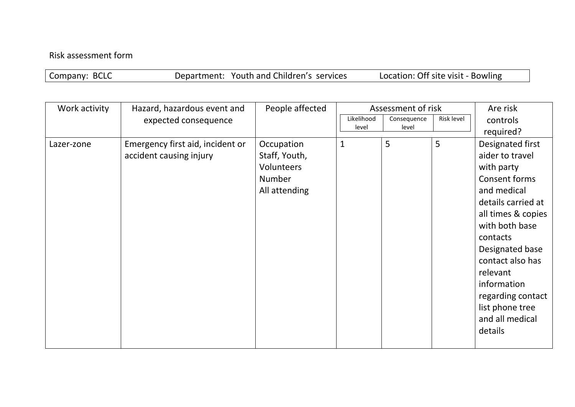## Risk assessment form

| Company: BCLC | Department: Youth and Children's services | Location: Off site visit - Bowling |
|---------------|-------------------------------------------|------------------------------------|
|---------------|-------------------------------------------|------------------------------------|

| Work activity | Hazard, hazardous event and      | People affected | Assessment of risk |             |            | Are risk           |
|---------------|----------------------------------|-----------------|--------------------|-------------|------------|--------------------|
|               | expected consequence             |                 | Likelihood         | Consequence | Risk level | controls           |
|               |                                  |                 | level              | level       |            | required?          |
| Lazer-zone    | Emergency first aid, incident or | Occupation      | $\mathbf{1}$       | 5           | 5          | Designated first   |
|               | accident causing injury          | Staff, Youth,   |                    |             |            | aider to travel    |
|               |                                  | Volunteers      |                    |             |            | with party         |
|               |                                  | Number          |                    |             |            | Consent forms      |
|               |                                  | All attending   |                    |             |            | and medical        |
|               |                                  |                 |                    |             |            | details carried at |
|               |                                  |                 |                    |             |            | all times & copies |
|               |                                  |                 |                    |             |            | with both base     |
|               |                                  |                 |                    |             |            | contacts           |
|               |                                  |                 |                    |             |            | Designated base    |
|               |                                  |                 |                    |             |            | contact also has   |
|               |                                  |                 |                    |             |            | relevant           |
|               |                                  |                 |                    |             |            | information        |
|               |                                  |                 |                    |             |            | regarding contact  |
|               |                                  |                 |                    |             |            | list phone tree    |
|               |                                  |                 |                    |             |            | and all medical    |
|               |                                  |                 |                    |             |            | details            |
|               |                                  |                 |                    |             |            |                    |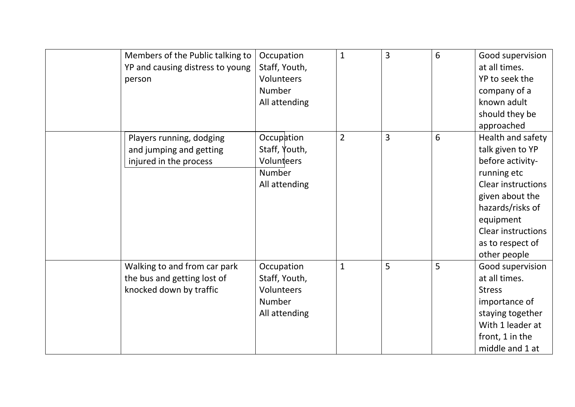|                                  |               |                | $\overline{3}$ | 6 |                           |
|----------------------------------|---------------|----------------|----------------|---|---------------------------|
| Members of the Public talking to | Occupation    | $\mathbf{1}$   |                |   | Good supervision          |
| YP and causing distress to young | Staff, Youth, |                |                |   | at all times.             |
| person                           | Volunteers    |                |                |   | YP to seek the            |
|                                  | Number        |                |                |   | company of a              |
|                                  | All attending |                |                |   | known adult               |
|                                  |               |                |                |   | should they be            |
|                                  |               |                |                |   | approached                |
| Players running, dodging         | Occupation    | $\overline{2}$ | 3              | 6 | Health and safety         |
| and jumping and getting          | Staff, Youth, |                |                |   | talk given to YP          |
| injured in the process           | Volunteers    |                |                |   | before activity-          |
|                                  | Number        |                |                |   | running etc               |
|                                  | All attending |                |                |   | <b>Clear instructions</b> |
|                                  |               |                |                |   | given about the           |
|                                  |               |                |                |   | hazards/risks of          |
|                                  |               |                |                |   | equipment                 |
|                                  |               |                |                |   | <b>Clear instructions</b> |
|                                  |               |                |                |   | as to respect of          |
|                                  |               |                |                |   | other people              |
| Walking to and from car park     | Occupation    | $\mathbf{1}$   | 5              | 5 | Good supervision          |
| the bus and getting lost of      | Staff, Youth, |                |                |   | at all times.             |
| knocked down by traffic          | Volunteers    |                |                |   | <b>Stress</b>             |
|                                  | Number        |                |                |   | importance of             |
|                                  | All attending |                |                |   | staying together          |
|                                  |               |                |                |   | With 1 leader at          |
|                                  |               |                |                |   | front, 1 in the           |
|                                  |               |                |                |   | middle and 1 at           |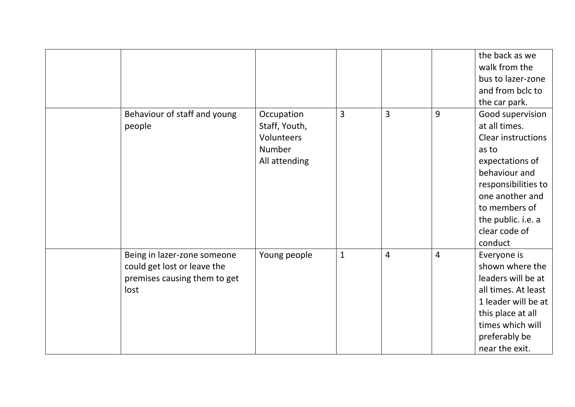|                                                                                                    |                                                                      |                |                |                | the back as we<br>walk from the<br>bus to lazer-zone<br>and from bclc to<br>the car park.                                                                                                                                |
|----------------------------------------------------------------------------------------------------|----------------------------------------------------------------------|----------------|----------------|----------------|--------------------------------------------------------------------------------------------------------------------------------------------------------------------------------------------------------------------------|
| Behaviour of staff and young<br>people                                                             | Occupation<br>Staff, Youth,<br>Volunteers<br>Number<br>All attending | $\overline{3}$ | 3              | 9              | Good supervision<br>at all times.<br><b>Clear instructions</b><br>as to<br>expectations of<br>behaviour and<br>responsibilities to<br>one another and<br>to members of<br>the public. i.e. a<br>clear code of<br>conduct |
| Being in lazer-zone someone<br>could get lost or leave the<br>premises causing them to get<br>lost | Young people                                                         | $\mathbf{1}$   | $\overline{4}$ | $\overline{4}$ | Everyone is<br>shown where the<br>leaders will be at<br>all times. At least<br>1 leader will be at<br>this place at all<br>times which will<br>preferably be<br>near the exit.                                           |